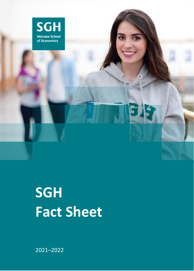

# **SGH Fact Sheet**

2021–2022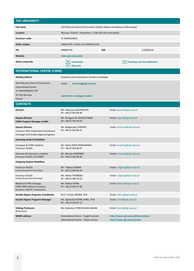| THE UNIVERSITY                                                                                          |                                                                                 |                                                                  |  |  |
|---------------------------------------------------------------------------------------------------------|---------------------------------------------------------------------------------|------------------------------------------------------------------|--|--|
| <b>Full name</b>                                                                                        | SGH Warsaw School of Economics (Szkoła Główna Handlowa w Warszawie)             |                                                                  |  |  |
| Location                                                                                                | Warsaw, Poland   Population: 1,758,143 (city metropolis)                        |                                                                  |  |  |
| Erasmus+ code                                                                                           | PL WARSZAW03                                                                    |                                                                  |  |  |
| <b>ECHE</b> number                                                                                      | 43645-EPP-1-2014-1-PL-EPPKA3-ECHE                                               |                                                                  |  |  |
| <b>PIC</b>                                                                                              | 998695705                                                                       | <b>OID</b><br>E10205120                                          |  |  |
| Website                                                                                                 | www.sgh.waw.pl/en                                                               |                                                                  |  |  |
| <b>About university</b>                                                                                 | ▶<br><b>Authorities</b><br>▶<br><b>Research</b>                                 | <b>Rankings and Accreditations</b><br>▶                          |  |  |
| <b>INTERNATIONAL CENTRE (CWM)</b>                                                                       |                                                                                 |                                                                  |  |  |
| <b>Mailing address</b>                                                                                  | Enquiries and nominations (student exchange)                                    |                                                                  |  |  |
| <b>SGH Warsaw School of Economics</b><br><b>International Centre</b><br>al. Niepodległości 162          | email:<br>incoming@sgh.waw.pl                                                   |                                                                  |  |  |
| 02-554 Warsaw<br>Poland                                                                                 | website for exchange students                                                   |                                                                  |  |  |
| <b>CONTACTS</b>                                                                                         |                                                                                 |                                                                  |  |  |
| <b>Director</b>                                                                                         | Ms. Katarzyna KACPERCZYK<br>Ph: +48 22 564 98 40                                | Email: kkacpe@sgh.waw.pl                                         |  |  |
| <b>Deputy Director</b><br><b>CEMS Program Manager at SGH</b>                                            | Mr. Grzegorz M. AUGUSTYNIAK<br>Ph: +48 22 564 98 42                             | Email: august@sgh.waw.pl                                         |  |  |
| <b>Deputy Director</b><br>Erasmus+ KA1 Institutional Coordinator<br>Exchange and double degree programs | Email: mchromy@sgh.waw.pl<br>Ms. Małgorzata CHROMY<br>Ph: +48 22 564 98 41      |                                                                  |  |  |
| <b>Incoming Student Mobilities</b>                                                                      |                                                                                 |                                                                  |  |  |
| European & CEMS students,<br>Erasmus+ KA103                                                             | Ms. Marta SENT-PAWŁOWSKA<br>Ph: +48 22 564 98 47                                | Email: incoming@sgh.waw.pl                                       |  |  |
| Overseas & Freemover students,<br>Erasmus+ KA107, EU SHARE                                              | Ms. Monika KOMOREK<br>Ph: +48 22 564 98 43                                      | Email: incoming@sgh.waw.pl                                       |  |  |
| <b>Outgoing Student Mobilities</b>                                                                      |                                                                                 |                                                                  |  |  |
| Erasmus+ KA103<br>(study abroad and internships)                                                        | Mr. Tadeusz KASIAK<br>Email: outgoing@sgh.waw.pl<br>Ph: +48 22 564 98 44        |                                                                  |  |  |
| Erasmus+ KA103<br>(study abroad and internships)                                                        | Ms. Marta TYMIŃSKA<br>Email: outgoing@sgh.waw.pl<br>Ph: +48 22 564 78 23        |                                                                  |  |  |
| Bilateral & PIM exchange,<br>CEMS MIM without Erasmus+,<br>Erasmus+ KA107, Freemovers                   | Ms. Nadiya SKYBA<br>Email: bilateral@sgh.waw.pl<br>Ph: +48 22 564 97 60         |                                                                  |  |  |
| <b>Double Degree Programs Coordinator</b>                                                               | Prof. Tomasz SIKORA, PhD                                                        | Email: tsikora@sgh.waw.pl                                        |  |  |
| Double Degree Programs Manager                                                                          | Ms. Agnieszka KÜHNL-KINEL, PhD<br>Ph: +48 22 564 87 21                          | Email: akinel@sgh.waw.pl                                         |  |  |
| <b>Visiting Professors</b><br>(Erasmus+)                                                                | Ms. Katarzyna TORCHALSKA-KASIAK                                                 | Email: ktorch@sgh.waw.pl                                         |  |  |
| <b>WWW address:</b>                                                                                     | International Centre - English version<br>International Centre - Polish version | http://www.sgh.waw.pl/international<br>http://www.sgh.waw.pl/cwm |  |  |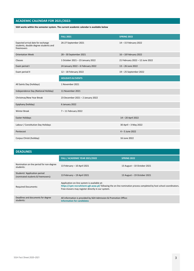# **ACADEMIC CALENDAR FOR 2021/2022:**

**SGH works within the semester system. The current academic calendar is available below**

|                                                                                          | <b>FALL 2021</b>                                                    | <b>SPRING 2022</b>     |  |
|------------------------------------------------------------------------------------------|---------------------------------------------------------------------|------------------------|--|
| Expected arrival date for exchange<br>students, double degree students and<br>freemovers | 26-27 September 2021                                                | 14 - 15 February 2022  |  |
| <b>Orientation Week</b>                                                                  | 28 - 30 September 2021                                              | 16 - 18 February 2022  |  |
| Classes                                                                                  | 1 October 2021 - 23 January 2022<br>21 February 2022 - 12 June 2022 |                        |  |
| Exam period I                                                                            | 24 January 2022 - 6 February 2022<br>13 - 26 June 2022              |                        |  |
| Exam period II                                                                           | 12 - 18 February 2022                                               | 19 - 25 September 2022 |  |
|                                                                                          | <b>HOLIDAYS &amp; EVENTS</b>                                        |                        |  |
| All Saints Day (holidays)                                                                | 1 November 2021                                                     |                        |  |
| Independence Day (National Holiday)                                                      | 11 November 2021                                                    |                        |  |
| Christmas/New Year Break                                                                 | 23 December 2021 - 2 January 2022                                   |                        |  |
| Epiphany (holiday)                                                                       | 6 January 2022                                                      |                        |  |
| <b>Winter Break</b>                                                                      | 7 - 11 February 2022                                                |                        |  |
| Easter Holidays                                                                          |                                                                     | 14-20 April 2022       |  |
| Labour / Constitution Day Holidays                                                       |                                                                     | 30 April - 3 May 2022  |  |
| Pentecost                                                                                |                                                                     | $4 - 5$ June 2022      |  |
| Corpus Christi (holiday)                                                                 |                                                                     | 16 June 2022           |  |

# **DEADLINES FALL / ACADEMIC YEAR 2021/2022 SPRING 2022** Nomination on-line period for non-degree students: 13 February – 10 April <sup>2021</sup> 13 August – 10 October 2021 Students' Application period (nominated students & freemovers): 13 February – 19 April <sup>2021</sup> 13 August – 19 October 2021 Required Documents: Application on-line system is available at: **https://cpm-recruitment.sgh.waw.pl/** following the on-line nomination process completed by host school coordinators. Free-movers may register directly in our system. Deadlines and documents for degree students: All information is provided by SGH Admission & Promotion Office: **[Information for candidates](https://www2.sgh.waw.pl/en/candidate)**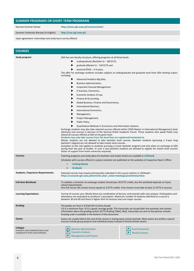# **SUMMER PROGRAMS OR SHORT-TERM PROGRAMS**

German Summer School **<http://www.sgh.waw.pl/sommerschule/>**

Summer University Warsaw (in English) **<http://suw.sgh.waw.pl/>**

Upon agreement: internships and study tours can be offered.

| <b>COURSES</b>                                                                         |                                                                                                                                                                                                                                                                                                                                                                                                                                                                                                                                                                                                                                                                                                                                                                                                                                                                                                                                                                                                                                                                                                                                                                                                                                                                                                                                                                                                                                                                                                                                                                                                         |  |  |
|----------------------------------------------------------------------------------------|---------------------------------------------------------------------------------------------------------------------------------------------------------------------------------------------------------------------------------------------------------------------------------------------------------------------------------------------------------------------------------------------------------------------------------------------------------------------------------------------------------------------------------------------------------------------------------------------------------------------------------------------------------------------------------------------------------------------------------------------------------------------------------------------------------------------------------------------------------------------------------------------------------------------------------------------------------------------------------------------------------------------------------------------------------------------------------------------------------------------------------------------------------------------------------------------------------------------------------------------------------------------------------------------------------------------------------------------------------------------------------------------------------------------------------------------------------------------------------------------------------------------------------------------------------------------------------------------------------|--|--|
| Study program:                                                                         | SGH has non-faculty structure, offering programs at all three levels:<br>undergraduate (Bachelor's) - 180 ECTS,<br>graduate (Master's) – 120 ECTS and<br>doctoral ( $PhD$ ) - 3-4 years.<br>The offer for exchange students includes subjects at undergraduate and graduate level from SGH existing majors<br>including:<br>Advanced Analytics-Big Data,<br><b>Business Administration,</b><br>Corporate Financial Management,<br>E-business, Economics,<br>Economic Analysis of Law,<br>Finance & Accounting,<br>Global Business, Finance and Governance,<br>International Business,<br>International Economics,<br>▶<br>Management,<br>Project Management,<br>Public Policy,<br>Quantitative Methods in Economics and Information Systems.<br>Exchange students may also take selected courses offered within CEMS Master in International Management (only<br>electives) and courses in German of the German-Polish Academic Forum. Those students who speak Polish may<br>attend all courses offered at SGH at the given level.<br>Students may only take courses from the level they are registered/nominated at.<br>Master students are not allowed to take bachelor level courses. Bachelor students (pursuing a 3-year long<br>bachelor's degree) are not allowed to take master level courses.<br>Exception to this rule applies to students pursuing a 4-year bachelor program and only when on exchange at SGH<br>during their last year of studies. In such a case bachelor students are allowed to register for master level courses<br>(letter of support from home university required). |  |  |
| Courses:                                                                               | Teaching programs and study plans for bachelor and master levels are available in USOSweb<br>Schedules with courses offered in a given semester are published on the websites of respective Dean's Office:<br>Undergraduate<br><b>Graduate</b>                                                                                                                                                                                                                                                                                                                                                                                                                                                                                                                                                                                                                                                                                                                                                                                                                                                                                                                                                                                                                                                                                                                                                                                                                                                                                                                                                          |  |  |
| Academic / Experience Requirements:                                                    | Selected courses may require prerequisites indicated in the course outlines in USOSweb –<br>https://usosweb.sgh.waw.pl/kontroler.php?_action=katalog2/przedmioty/index                                                                                                                                                                                                                                                                                                                                                                                                                                                                                                                                                                                                                                                                                                                                                                                                                                                                                                                                                                                                                                                                                                                                                                                                                                                                                                                                                                                                                                  |  |  |
| <b>Full-time Workload:</b>                                                             | To validate a semester an exchange student should pass 30 ECTS credits, but the workload depends on home<br>school requirements.<br>One full course (30 contact hours) equals to 3 ECTS credits. Free-movers must take at least 21 ECTS in courses.                                                                                                                                                                                                                                                                                                                                                                                                                                                                                                                                                                                                                                                                                                                                                                                                                                                                                                                                                                                                                                                                                                                                                                                                                                                                                                                                                     |  |  |
| <b>Learning Expectations:</b>                                                          | Format of courses vary. Mostly these are combination of lecture, and tutorials with case analysis. Participation and<br>attendance are evaluated on professor's perception. Maximum number of students admitted to a course is<br>between 30 and 40 and there is higher limit for lectures and core major courses.                                                                                                                                                                                                                                                                                                                                                                                                                                                                                                                                                                                                                                                                                                                                                                                                                                                                                                                                                                                                                                                                                                                                                                                                                                                                                      |  |  |
| Grading:                                                                               | The grades are from 2.0 (Fail) till 5.0 (Very Good).<br>3.0 is a minimum Pass. 4.0 is a good, average grade. The transcripts are issued after the semester and contain<br>information about the grading system (ECTS Grading Table). Next, transcripts are sent to the partner schools.<br>Grading scale is available in the bottom of this document.                                                                                                                                                                                                                                                                                                                                                                                                                                                                                                                                                                                                                                                                                                                                                                                                                                                                                                                                                                                                                                                                                                                                                                                                                                                   |  |  |
| Exams:                                                                                 | Exams are usually held at the end of the course or during exam session periods. Most exams are written; several<br>courses include group projects and individual essays instead of formal written exams.                                                                                                                                                                                                                                                                                                                                                                                                                                                                                                                                                                                                                                                                                                                                                                                                                                                                                                                                                                                                                                                                                                                                                                                                                                                                                                                                                                                                |  |  |
| Collegia:<br>(research units headed by Deans and<br>composed of chairs and institutes) | <b>Business Administration</b><br>Socio-Economics<br><b>Economic Analysis</b><br><b>World Economy</b><br><b>Management and Finance</b>                                                                                                                                                                                                                                                                                                                                                                                                                                                                                                                                                                                                                                                                                                                                                                                                                                                                                                                                                                                                                                                                                                                                                                                                                                                                                                                                                                                                                                                                  |  |  |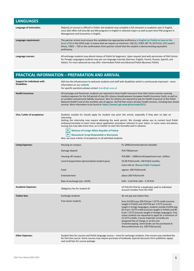| <b>LANGUAGES</b>         |                                                                                                                                                                                                                                                                                                                                                                   |
|--------------------------|-------------------------------------------------------------------------------------------------------------------------------------------------------------------------------------------------------------------------------------------------------------------------------------------------------------------------------------------------------------------|
| Language of instruction: | Majority of courses is offered in Polish, but students may complete a full semester or academic year in English,<br>since SGH offers full-time BA and MA programs in English in selected majors as well as part-time PhD program in<br>Management and Economics in English.                                                                                       |
| Language requirement:    | The partner school must ensure the candidate has appropriate proficiency in English (or Polish) at least at the<br>level of B2 in the CEFR scale. It means that we require as minimum: CAE (C), TOEFL IBT 79, IELTS 6.0, LCCI Level 3<br>(Pass), TOEIC - 750 or the confirmation from partner school that the student is demonstrating equivalent<br>proficiency. |
| Language courses:        | All exchange students may attend classes of Polish for beginners. Upon request (and with permission of SGH Centre<br>for Foreign Languages) students may join our language tutorials (German, English, French, Russian, Spanish, and<br>Italian). For more advanced we may offer: intermediate Polish and Advanced Polish (Business Polish).                      |

# **PRACTICAL INFORMATION – PREPARATION AND ARRIVAL**

| Support for Individuals with<br><b>Disabilities</b> | SGH has the infrastructure to welcome students and staff with disabilities which is continuously improved – more<br>information on our website<br>For specific questions please contact dson@sgh.waw.pl                                                                                                                                                                                                                                                                                                                                                                                                                      |                                                                                                                                                                                                                                                                                                                                                                                                                                                                                                                                                    |  |
|-----------------------------------------------------|------------------------------------------------------------------------------------------------------------------------------------------------------------------------------------------------------------------------------------------------------------------------------------------------------------------------------------------------------------------------------------------------------------------------------------------------------------------------------------------------------------------------------------------------------------------------------------------------------------------------------|----------------------------------------------------------------------------------------------------------------------------------------------------------------------------------------------------------------------------------------------------------------------------------------------------------------------------------------------------------------------------------------------------------------------------------------------------------------------------------------------------------------------------------------------------|--|
| <b>Health insurance:</b>                            | All exchange and freemover students are required to have health insurance from their home country covering<br>medical expenses for the full period of stay (EU citizens should possess European Health Insurance Card), as well as<br>an accident and personal liability insurance. Non-EU citizens are required to pay for health insurance to the Polish<br>National Health Fund at the monthly rate of approx. 50 PLN that covers all basic health services, including basic dental<br>services. More information to be found at: https://www2.sgh.waw.pl/en/node/2513                                                    |                                                                                                                                                                                                                                                                                                                                                                                                                                                                                                                                                    |  |
| Visa / Letter of acceptance:                        | Students outside EU should apply for student visa prior the arrival, especially if they plan to take an<br>internship.<br>Getting the internship may require obtaining the work permit. We strongly advise you to contact local Polish<br>embassy/consulate to learn more about application procedure relevant to your status. In some cases and places,<br>issuing visa may take more time, so it is better to start this formality well in advance.<br><b>Ministry of Foreign Affairs Republic of Poland</b><br>Mazowiecki Urząd Wojewódzki w Warszawie<br>Also, we issue a letter of acceptance to all admitted students. |                                                                                                                                                                                                                                                                                                                                                                                                                                                                                                                                                    |  |
| <b>Living Expenses:</b>                             | Housing on-campus                                                                                                                                                                                                                                                                                                                                                                                                                                                                                                                                                                                                            | PL 2400/semester/person (double)                                                                                                                                                                                                                                                                                                                                                                                                                                                                                                                   |  |
|                                                     | Damage deposit                                                                                                                                                                                                                                                                                                                                                                                                                                                                                                                                                                                                               | PLN 700/person                                                                                                                                                                                                                                                                                                                                                                                                                                                                                                                                     |  |
|                                                     | Housing off-campus                                                                                                                                                                                                                                                                                                                                                                                                                                                                                                                                                                                                           | PLN 800 - 1600/month/apartment excl. utilities                                                                                                                                                                                                                                                                                                                                                                                                                                                                                                     |  |
|                                                     | Local transportation (personalised student pass)                                                                                                                                                                                                                                                                                                                                                                                                                                                                                                                                                                             | 55.00 PLN/month, 140 PLN/3 months;<br>more info at: Waraw Public Transport                                                                                                                                                                                                                                                                                                                                                                                                                                                                         |  |
|                                                     | Food                                                                                                                                                                                                                                                                                                                                                                                                                                                                                                                                                                                                                         | approx. 500 PLN/month                                                                                                                                                                                                                                                                                                                                                                                                                                                                                                                              |  |
|                                                     | Entertainment                                                                                                                                                                                                                                                                                                                                                                                                                                                                                                                                                                                                                | about 200 PLN/month                                                                                                                                                                                                                                                                                                                                                                                                                                                                                                                                |  |
|                                                     | Rate of exchange (Jan. 2019):                                                                                                                                                                                                                                                                                                                                                                                                                                                                                                                                                                                                | EUR-4.29 PLN; USD-3.79 PLN                                                                                                                                                                                                                                                                                                                                                                                                                                                                                                                         |  |
| <b>Academic Expenses:</b>                           | Obligatory fee for student ID                                                                                                                                                                                                                                                                                                                                                                                                                                                                                                                                                                                                | 22 PLN (33 PLN for a duplicate); paid to individual<br>account number from the VOD                                                                                                                                                                                                                                                                                                                                                                                                                                                                 |  |
| <b>Tuition fees</b>                                 | Exchange students                                                                                                                                                                                                                                                                                                                                                                                                                                                                                                                                                                                                            | do not pay any tuition fees.                                                                                                                                                                                                                                                                                                                                                                                                                                                                                                                       |  |
|                                                     | Free-mover students                                                                                                                                                                                                                                                                                                                                                                                                                                                                                                                                                                                                          | from EU/EEA pay 200 PLN per 1 ECTS credit (courses<br>taught in Polish) and 250 PLN per 1 ECTS (courses<br>taught in foreign languages), students outside EU/EEA pay<br>65 € per 1 ECTS credit (courses taught in Polish) and 80<br>€ per 1 ECTS (courses taught in foreign languages). Free-<br>mover students are requested to apply for a minimum of<br>21 ECTS credits. Course materials currently are<br>prepared free of charge or at the cost<br>of photocopying. Some books can be purchased at<br>discounted prices (ca. 200 PLN/course). |  |
| <b>Other Expenses:</b>                              | Student fees for courses and Polish language course – none for exchange students, free-movers pay standard fee<br>for full-time course. Some courses may require purchase of textbooks (special discounts form publishers apply)                                                                                                                                                                                                                                                                                                                                                                                             |                                                                                                                                                                                                                                                                                                                                                                                                                                                                                                                                                    |  |

and small fees for course package.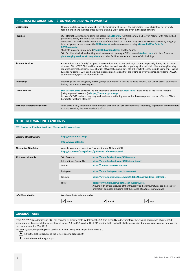| <b>PRACTICAL INFORMATION - STUDYING AND LIVING IN WARSAW</b> |                                                                                                                                                                                                                                                                                                                                                                                                                                                                                                                                                                                                                                                                                                                                           |  |  |
|--------------------------------------------------------------|-------------------------------------------------------------------------------------------------------------------------------------------------------------------------------------------------------------------------------------------------------------------------------------------------------------------------------------------------------------------------------------------------------------------------------------------------------------------------------------------------------------------------------------------------------------------------------------------------------------------------------------------------------------------------------------------------------------------------------------------|--|--|
| <b>Orientation</b>                                           | Orientation takes place in a week before the beginning of classes. The orientation is not obligatory but strongly<br>recommended and includes cross-cultural training. Exact dates are given in the calendar part.                                                                                                                                                                                                                                                                                                                                                                                                                                                                                                                        |  |  |
| <b>Facilities</b>                                            | SGH offers the exchange students the access to SGH library (Central Economic Library in Poland) with reading hall,<br>periodicals library and media services (Pro-Quest data base etc.).<br>Computer labs are located in various places of the school, but students may use their own notebooks by plugging-<br>in in designated areas or using the WiFi network available on campus using Microsoft Office Suite for<br>PC/Mac/mobile.<br>Students may also join selected Physical Education classes and the Sauna.<br>SGH facilities also include banking services (account opening, ATM's), several student clubs with food & snacks,<br>photocopying services. Grocery shops and other facilities are located close to SGH buildings. |  |  |
| <b>Student Services</b>                                      | Each student has a "buddy" assigned - SGH student who assists exchange students especially during the first weeks<br>of stay at SGH. CEMS Club and Erasmus Student Network are also organizing trips to Polish cities and neighbouring<br>countries, international dinners, celebration of typical Polish holidays etc. Other activities may include skiing trips, sailing<br>& canoeing camps. SGH also has active student organisations that are willing to involve exchange students (AIESEC,<br>student unions, sports academic clubs etc.)                                                                                                                                                                                           |  |  |
| Internships                                                  | Internships are not obligatory at SGH (except students of CEMS and selected majors), but Centre assists students in<br>finding the internship on request.                                                                                                                                                                                                                                                                                                                                                                                                                                                                                                                                                                                 |  |  |
| <b>Career services</b>                                       | SGH Career Centre publishes job and internship offers on its Career Portal available to all registered students<br>(using login and password) - https://kariera.sgh.waw.pl.<br>In case of CEMS students they may seek assistance in finding internships, business projects or job offers of CEMS<br>Corporate Relations Manager.                                                                                                                                                                                                                                                                                                                                                                                                          |  |  |
| <b>Exchange Coordinator Services</b>                         | The Centre is fully responsible for the overall exchange at SGH, except course scheduling, registration and transcripts<br>that are issued by the relevant dean's office.                                                                                                                                                                                                                                                                                                                                                                                                                                                                                                                                                                 |  |  |

# **OTHER RELEVANT INFO AND LINKS**

#### **[ECTS Guides, Int'l Student Handbook,](http://administracja.sgh.waw.pl/en/cpm/international_exchange/incoming_students/informations/) Movies and Presentations**

| Warsaw official website       | http://www.e-warsaw.pl<br>http://www.poland.pl                                                                    |                                                                                                                                                                                                                                                                                                                                                                                                                                                |  |
|-------------------------------|-------------------------------------------------------------------------------------------------------------------|------------------------------------------------------------------------------------------------------------------------------------------------------------------------------------------------------------------------------------------------------------------------------------------------------------------------------------------------------------------------------------------------------------------------------------------------|--|
| <b>Alternative City Guide</b> | guide to Warsaw prepared by Erasmus Student Network SGH<br>http://issuu.com/esnsgh/docs/guide012015fin.compressed |                                                                                                                                                                                                                                                                                                                                                                                                                                                |  |
| <b>SGH</b> in social media:   | SGH Facebook<br>International Centre FB:<br>Twitter<br>Instagram<br>LinkedIn<br>Flickr                            | https://www.facebook.com/SGHWarsaw<br>https://www.facebook.com/SGHInternational/<br>https://twitter.com/SGHWarsaw<br>https://www.instagram.com/sghwarsaw/<br>https://www.linkedin.com/school/15096521?pathWildcard=15096521<br>https://www.flickr.com/photos/sgh_warsaw/sets/<br>Albums with official pictures of the University and events. Pictures can be used for<br>promotion purposes providing that the source of pictures is mentioned |  |
| <b>Info Dissemination:</b>    | We disseminate information by:                                                                                    | Email<br>Mail                                                                                                                                                                                                                                                                                                                                                                                                                                  |  |

# **GRADING TABLE**

From 2012/2013 academic year, SGH has changed its grading scale by deleting the 5.5 (the highest) grade. Therefore, the grading percentage of current 5.0 grade represents accumulated percentage of former 5.0 and 5.5 grades. The ECTS grading table that reflects the actual distribution of grades under new system has been updated in May 2013.

In a new system, the grading scale used at SGH from 2012/2013 ranges from 2.0 to 5.0.

▶ 5.0 is the highest grade and the lowest passing grade is 3.0.

 $\boxed{\blacktriangleright}$  4.0 is the norm for a good pass.